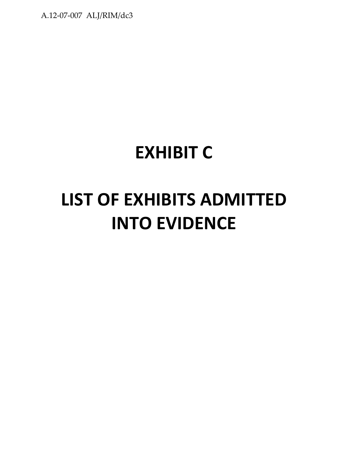## **EXHIBIT C**

# **LIST OF EXHIBITS ADMITTED INTO EVIDENCE**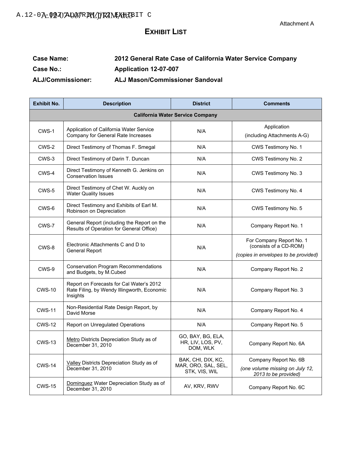#### **EXHIBIT LIST**

#### **Case Name: 2012 General Rate Case of California Water Service Company Case No.: Application 12-07-007 ALJ/Commissioner: ALJ Mason/Commissioner Sandoval**

| <b>Exhibit No.</b> | <b>Description</b>                                                                                  | <b>District</b>                                            | <b>Comments</b>                                                                  |  |  |  |
|--------------------|-----------------------------------------------------------------------------------------------------|------------------------------------------------------------|----------------------------------------------------------------------------------|--|--|--|
|                    | <b>California Water Service Company</b>                                                             |                                                            |                                                                                  |  |  |  |
| CWS-1              | Application of California Water Service<br>Company for General Rate Increases                       | N/A                                                        | Application<br>(including Attachments A-G)                                       |  |  |  |
| CWS-2              | Direct Testimony of Thomas F. Smegal                                                                | N/A                                                        | CWS Testimony No. 1                                                              |  |  |  |
| CWS-3              | Direct Testimony of Darin T. Duncan                                                                 | N/A                                                        | CWS Testimony No. 2                                                              |  |  |  |
| CWS-4              | Direct Testimony of Kenneth G. Jenkins on<br><b>Conservation Issues</b>                             | N/A                                                        | CWS Testimony No. 3                                                              |  |  |  |
| CWS-5              | Direct Testimony of Chet W. Auckly on<br><b>Water Quality Issues</b>                                | N/A                                                        | CWS Testimony No. 4                                                              |  |  |  |
| CWS-6              | Direct Testimony and Exhibits of Earl M.<br>Robinson on Depreciation                                | N/A                                                        | CWS Testimony No. 5                                                              |  |  |  |
| CWS-7              | General Report (including the Report on the<br>Results of Operation for General Office)             | N/A                                                        | Company Report No. 1                                                             |  |  |  |
| CWS-8              | Electronic Attachments C and D to<br><b>General Report</b>                                          | N/A                                                        | For Company Report No. 1<br>(consists of a CD-ROM)                               |  |  |  |
|                    |                                                                                                     |                                                            | (copies in envelopes to be provided)                                             |  |  |  |
| CWS-9              | <b>Conservation Program Recommendations</b><br>and Budgets, by M.Cubed                              | N/A                                                        | Company Report No. 2                                                             |  |  |  |
| <b>CWS-10</b>      | Report on Forecasts for Cal Water's 2012<br>Rate Filing, by Wendy Illingworth, Economic<br>Insights | N/A                                                        | Company Report No. 3                                                             |  |  |  |
| <b>CWS-11</b>      | Non-Residential Rate Design Report, by<br>David Morse                                               | N/A                                                        | Company Report No. 4                                                             |  |  |  |
| <b>CWS-12</b>      | Report on Unregulated Operations                                                                    | N/A                                                        | Company Report No. 5                                                             |  |  |  |
| <b>CWS-13</b>      | Metro Districts Depreciation Study as of<br>December 31, 2010                                       | GO, BAY, BG, ELA,<br>HR, LIV, LOS, PV,<br>DOM, WLK         | Company Report No. 6A                                                            |  |  |  |
| <b>CWS-14</b>      | Valley Districts Depreciation Study as of<br>December 31, 2010                                      | BAK, CHI, DIX, KC,<br>MAR, ORO, SAL, SEL,<br>STK, VIS, WIL | Company Report No. 6B<br>(one volume missing on July 12,<br>2013 to be provided) |  |  |  |
| <b>CWS-15</b>      | Dominguez Water Depreciation Study as of<br>December 31, 2010                                       | AV, KRV, RWV                                               | Company Report No. 6C                                                            |  |  |  |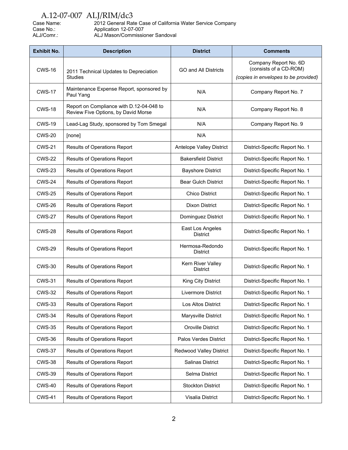Case Name: 2012 General Rate Case of California Water Service Company<br>Case No.: Application 12-07-007 Case No.: Application 12-07-007<br>ALJ/Comr.: ALJ Mason/Commissio ALJ Mason/Commissioner Sandoval

| <b>Exhibit No.</b> | <b>Description</b>                                                              | <b>District</b>                      | <b>Comments</b>                                                                         |
|--------------------|---------------------------------------------------------------------------------|--------------------------------------|-----------------------------------------------------------------------------------------|
| <b>CWS-16</b>      | 2011 Technical Updates to Depreciation<br><b>Studies</b>                        | <b>GO and All Districts</b>          | Company Report No. 6D<br>(consists of a CD-ROM)<br>(copies in envelopes to be provided) |
|                    |                                                                                 |                                      |                                                                                         |
| <b>CWS-17</b>      | Maintenance Expense Report, sponsored by<br>Paul Yang                           | N/A                                  | Company Report No. 7                                                                    |
| <b>CWS-18</b>      | Report on Compliance with D.12-04-048 to<br>Review Five Options, by David Morse | N/A                                  | Company Report No. 8                                                                    |
| <b>CWS-19</b>      | Lead-Lag Study, sponsored by Tom Smegal                                         | N/A                                  | Company Report No. 9                                                                    |
| <b>CWS-20</b>      | [none]                                                                          | N/A                                  |                                                                                         |
| <b>CWS-21</b>      | Results of Operations Report                                                    | Antelope Valley District             | District-Specific Report No. 1                                                          |
| <b>CWS-22</b>      | <b>Results of Operations Report</b>                                             | <b>Bakersfield District</b>          | District-Specific Report No. 1                                                          |
| <b>CWS-23</b>      | <b>Results of Operations Report</b>                                             | <b>Bayshore District</b>             | District-Specific Report No. 1                                                          |
| <b>CWS-24</b>      | Results of Operations Report                                                    | <b>Bear Gulch District</b>           | District-Specific Report No. 1                                                          |
| <b>CWS-25</b>      | Results of Operations Report                                                    | <b>Chico District</b>                | District-Specific Report No. 1                                                          |
| <b>CWS-26</b>      | <b>Results of Operations Report</b>                                             | <b>Dixon District</b>                | District-Specific Report No. 1                                                          |
| <b>CWS-27</b>      | Results of Operations Report                                                    | Dominguez District                   | District-Specific Report No. 1                                                          |
| <b>CWS-28</b>      | Results of Operations Report                                                    | East Los Angeles<br><b>District</b>  | District-Specific Report No. 1                                                          |
| <b>CWS-29</b>      | Results of Operations Report                                                    | Hermosa-Redondo<br><b>District</b>   | District-Specific Report No. 1                                                          |
| <b>CWS-30</b>      | Results of Operations Report                                                    | Kern River Valley<br><b>District</b> | District-Specific Report No. 1                                                          |
| <b>CWS-31</b>      | Results of Operations Report                                                    | King City District                   | District-Specific Report No. 1                                                          |
| <b>CWS-32</b>      | Results of Operations Report                                                    | <b>Livermore District</b>            | District-Specific Report No. 1                                                          |
| <b>CWS-33</b>      | <b>Results of Operations Report</b>                                             | Los Altos District                   | District-Specific Report No. 1                                                          |
| <b>CWS-34</b>      | Results of Operations Report                                                    | Marysville District                  | District-Specific Report No. 1                                                          |
| <b>CWS-35</b>      | Results of Operations Report                                                    | <b>Oroville District</b>             | District-Specific Report No. 1                                                          |
| <b>CWS-36</b>      | Results of Operations Report                                                    | Palos Verdes District                | District-Specific Report No. 1                                                          |
| <b>CWS-37</b>      | Results of Operations Report                                                    | Redwood Valley District              | District-Specific Report No. 1                                                          |
| <b>CWS-38</b>      | Results of Operations Report                                                    | Salinas District                     | District-Specific Report No. 1                                                          |
| <b>CWS-39</b>      | <b>Results of Operations Report</b>                                             | Selma District                       | District-Specific Report No. 1                                                          |
| <b>CWS-40</b>      | Results of Operations Report                                                    | <b>Stockton District</b>             | District-Specific Report No. 1                                                          |
| <b>CWS-41</b>      | <b>Results of Operations Report</b>                                             | Visalia District                     | District-Specific Report No. 1                                                          |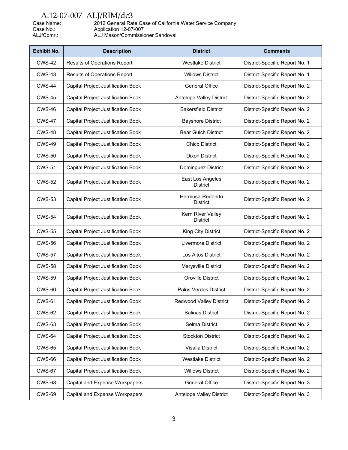| Case Name: |
|------------|
| Case No.:  |
| ALJ/Comr.: |

Case Name: 2012 General Rate Case of California Water Service Company Case No.: Application 12-07-007 ALJ/Comr.: ALJ Mason/Commissioner Sandoval

| <b>Exhibit No.</b> | <b>Description</b>                        | <b>District</b>                     | <b>Comments</b>                |
|--------------------|-------------------------------------------|-------------------------------------|--------------------------------|
| <b>CWS-42</b>      | Results of Operations Report              | <b>Westlake District</b>            | District-Specific Report No. 1 |
| <b>CWS-43</b>      | <b>Results of Operations Report</b>       | <b>Willows District</b>             | District-Specific Report No. 1 |
| <b>CWS-44</b>      | Capital Project Justification Book        | <b>General Office</b>               | District-Specific Report No. 2 |
| <b>CWS-45</b>      | Capital Project Justification Book        | <b>Antelope Valley District</b>     | District-Specific Report No. 2 |
| <b>CWS-46</b>      | Capital Project Justification Book        | <b>Bakersfield District</b>         | District-Specific Report No. 2 |
| <b>CWS-47</b>      | Capital Project Justification Book        | <b>Bayshore District</b>            | District-Specific Report No. 2 |
| <b>CWS-48</b>      | Capital Project Justification Book        | <b>Bear Gulch District</b>          | District-Specific Report No. 2 |
| <b>CWS-49</b>      | Capital Project Justification Book        | <b>Chico District</b>               | District-Specific Report No. 2 |
| <b>CWS-50</b>      | Capital Project Justification Book        | <b>Dixon District</b>               | District-Specific Report No. 2 |
| <b>CWS-51</b>      | Capital Project Justification Book        | Dominguez District                  | District-Specific Report No. 2 |
| <b>CWS-52</b>      | Capital Project Justification Book        | East Los Angeles<br><b>District</b> | District-Specific Report No. 2 |
| <b>CWS-53</b>      | Capital Project Justification Book        | Hermosa-Redondo<br><b>District</b>  | District-Specific Report No. 2 |
| <b>CWS-54</b>      | Capital Project Justification Book        | Kern River Valley<br>District       | District-Specific Report No. 2 |
| <b>CWS-55</b>      | Capital Project Justification Book        | King City District                  | District-Specific Report No. 2 |
| <b>CWS-56</b>      | Capital Project Justification Book        | Livermore District                  | District-Specific Report No. 2 |
| <b>CWS-57</b>      | Capital Project Justification Book        | Los Altos District                  | District-Specific Report No. 2 |
| <b>CWS-58</b>      | Capital Project Justification Book        | Marysville District                 | District-Specific Report No. 2 |
| <b>CWS-59</b>      | Capital Project Justification Book        | Oroville District                   | District-Specific Report No. 2 |
| <b>CWS-60</b>      | Capital Project Justification Book        | Palos Verdes District               | District-Specific Report No. 2 |
| <b>CWS-61</b>      | Capital Project Justification Book        | Redwood Valley District             | District-Specific Report No. 2 |
| <b>CWS-62</b>      | Capital Project Justification Book        | Salinas District                    | District-Specific Report No. 2 |
| <b>CWS-63</b>      | <b>Capital Project Justification Book</b> | Selma District                      | District-Specific Report No. 2 |
| <b>CWS-64</b>      | Capital Project Justification Book        | <b>Stockton District</b>            | District-Specific Report No. 2 |
| <b>CWS-65</b>      | Capital Project Justification Book        | Visalia District                    | District-Specific Report No. 2 |
| CWS-66             | Capital Project Justification Book        | <b>Westlake District</b>            | District-Specific Report No. 2 |
| <b>CWS-67</b>      | Capital Project Justification Book        | <b>Willows District</b>             | District-Specific Report No. 2 |
| <b>CWS-68</b>      | Capital and Expense Workpapers            | <b>General Office</b>               | District-Specific Report No. 3 |
| <b>CWS-69</b>      | Capital and Expense Workpapers            | Antelope Valley District            | District-Specific Report No. 3 |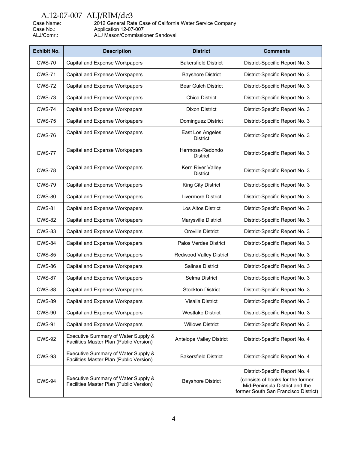| Case Name: |  |
|------------|--|
| Case No.:  |  |
| ALJ/Comr.: |  |

Case Name: 2012 General Rate Case of California Water Service Company Case No.: Application 12-07-007 ALJ/Comr.: ALJ Mason/Commissioner Sandoval

| <b>Exhibit No.</b> | <b>Description</b>                                                             | <b>District</b>                      | <b>Comments</b>                                                                                                                               |
|--------------------|--------------------------------------------------------------------------------|--------------------------------------|-----------------------------------------------------------------------------------------------------------------------------------------------|
| <b>CWS-70</b>      | Capital and Expense Workpapers                                                 | <b>Bakersfield District</b>          | District-Specific Report No. 3                                                                                                                |
| <b>CWS-71</b>      | Capital and Expense Workpapers                                                 | <b>Bayshore District</b>             | District-Specific Report No. 3                                                                                                                |
| <b>CWS-72</b>      | Capital and Expense Workpapers                                                 | <b>Bear Gulch District</b>           | District-Specific Report No. 3                                                                                                                |
| <b>CWS-73</b>      | Capital and Expense Workpapers                                                 | <b>Chico District</b>                | District-Specific Report No. 3                                                                                                                |
| <b>CWS-74</b>      | Capital and Expense Workpapers                                                 | <b>Dixon District</b>                | District-Specific Report No. 3                                                                                                                |
| <b>CWS-75</b>      | Capital and Expense Workpapers                                                 | Dominguez District                   | District-Specific Report No. 3                                                                                                                |
| <b>CWS-76</b>      | Capital and Expense Workpapers                                                 | East Los Angeles<br><b>District</b>  | District-Specific Report No. 3                                                                                                                |
| <b>CWS-77</b>      | Capital and Expense Workpapers                                                 | Hermosa-Redondo<br><b>District</b>   | District-Specific Report No. 3                                                                                                                |
| <b>CWS-78</b>      | Capital and Expense Workpapers                                                 | Kern River Valley<br><b>District</b> | District-Specific Report No. 3                                                                                                                |
| <b>CWS-79</b>      | Capital and Expense Workpapers                                                 | King City District                   | District-Specific Report No. 3                                                                                                                |
| <b>CWS-80</b>      | Capital and Expense Workpapers                                                 | Livermore District                   | District-Specific Report No. 3                                                                                                                |
| <b>CWS-81</b>      | Capital and Expense Workpapers                                                 | Los Altos District                   | District-Specific Report No. 3                                                                                                                |
| <b>CWS-82</b>      | Capital and Expense Workpapers                                                 | Marysville District                  | District-Specific Report No. 3                                                                                                                |
| <b>CWS-83</b>      | Capital and Expense Workpapers                                                 | Oroville District                    | District-Specific Report No. 3                                                                                                                |
| <b>CWS-84</b>      | Capital and Expense Workpapers                                                 | Palos Verdes District                | District-Specific Report No. 3                                                                                                                |
| <b>CWS-85</b>      | Capital and Expense Workpapers                                                 | <b>Redwood Valley District</b>       | District-Specific Report No. 3                                                                                                                |
| <b>CWS-86</b>      | Capital and Expense Workpapers                                                 | Salinas District                     | District-Specific Report No. 3                                                                                                                |
| <b>CWS-87</b>      | Capital and Expense Workpapers                                                 | Selma District                       | District-Specific Report No. 3                                                                                                                |
| <b>CWS-88</b>      | Capital and Expense Workpapers                                                 | <b>Stockton District</b>             | District-Specific Report No. 3                                                                                                                |
| CWS-89             | Capital and Expense Workpapers                                                 | Visalia District                     | District-Specific Report No. 3                                                                                                                |
| <b>CWS-90</b>      | Capital and Expense Workpapers                                                 | <b>Westlake District</b>             | District-Specific Report No. 3                                                                                                                |
| <b>CWS-91</b>      | Capital and Expense Workpapers                                                 | <b>Willows District</b>              | District-Specific Report No. 3                                                                                                                |
| <b>CWS-92</b>      | Executive Summary of Water Supply &<br>Facilities Master Plan (Public Version) | Antelope Valley District             | District-Specific Report No. 4                                                                                                                |
| <b>CWS-93</b>      | Executive Summary of Water Supply &<br>Facilities Master Plan (Public Version) | <b>Bakersfield District</b>          | District-Specific Report No. 4                                                                                                                |
| <b>CWS-94</b>      | Executive Summary of Water Supply &<br>Facilities Master Plan (Public Version) | <b>Bayshore District</b>             | District-Specific Report No. 4<br>(consists of books for the former<br>Mid-Peninsula District and the<br>former South San Francisco District) |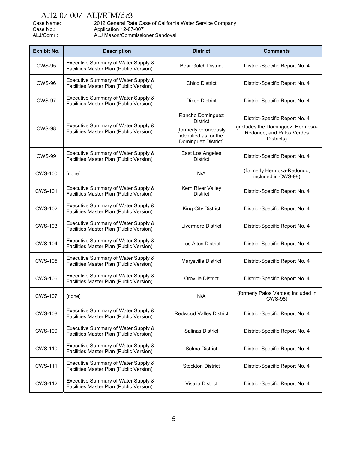| Case Name: | 2012 General Rate Case of California Water Service Company |
|------------|------------------------------------------------------------|
| Case No.:  | Application 12-07-007                                      |
| ALJ/Comr.: | ALJ Mason/Commissioner Sandoval                            |

| <b>Exhibit No.</b> | <b>Description</b>                                                             | <b>District</b>                                                                                              | <b>Comments</b>                                                                                                |
|--------------------|--------------------------------------------------------------------------------|--------------------------------------------------------------------------------------------------------------|----------------------------------------------------------------------------------------------------------------|
| <b>CWS-95</b>      | Executive Summary of Water Supply &<br>Facilities Master Plan (Public Version) | <b>Bear Gulch District</b>                                                                                   | District-Specific Report No. 4                                                                                 |
| <b>CWS-96</b>      | Executive Summary of Water Supply &<br>Facilities Master Plan (Public Version) | <b>Chico District</b>                                                                                        | District-Specific Report No. 4                                                                                 |
| <b>CWS-97</b>      | Executive Summary of Water Supply &<br>Facilities Master Plan (Public Version) | <b>Dixon District</b>                                                                                        | District-Specific Report No. 4                                                                                 |
| <b>CWS-98</b>      | Executive Summary of Water Supply &<br>Facilities Master Plan (Public Version) | Rancho Dominguez<br><b>District</b><br>(formerly erroneously<br>identified as for the<br>Dominguez District) | District-Specific Report No. 4<br>(includes the Dominguez, Hermosa-<br>Redondo, and Palos Verdes<br>Districts) |
| <b>CWS-99</b>      | Executive Summary of Water Supply &<br>Facilities Master Plan (Public Version) | East Los Angeles<br><b>District</b>                                                                          | District-Specific Report No. 4                                                                                 |
| <b>CWS-100</b>     | [none]                                                                         | N/A                                                                                                          | (formerly Hermosa-Redondo;<br>included in CWS-98)                                                              |
| <b>CWS-101</b>     | Executive Summary of Water Supply &<br>Facilities Master Plan (Public Version) | Kern River Valley<br><b>District</b>                                                                         | District-Specific Report No. 4                                                                                 |
| <b>CWS-102</b>     | Executive Summary of Water Supply &<br>Facilities Master Plan (Public Version) | King City District                                                                                           | District-Specific Report No. 4                                                                                 |
| <b>CWS-103</b>     | Executive Summary of Water Supply &<br>Facilities Master Plan (Public Version) | Livermore District                                                                                           | District-Specific Report No. 4                                                                                 |
| <b>CWS-104</b>     | Executive Summary of Water Supply &<br>Facilities Master Plan (Public Version) | <b>Los Altos District</b>                                                                                    | District-Specific Report No. 4                                                                                 |
| <b>CWS-105</b>     | Executive Summary of Water Supply &<br>Facilities Master Plan (Public Version) | Marysville District                                                                                          | District-Specific Report No. 4                                                                                 |
| <b>CWS-106</b>     | Executive Summary of Water Supply &<br>Facilities Master Plan (Public Version) | Oroville District                                                                                            | District-Specific Report No. 4                                                                                 |
| <b>CWS-107</b>     | [none]                                                                         | N/A                                                                                                          | (formerly Palos Verdes; included in<br>CWS-98)                                                                 |
| <b>CWS-108</b>     | Executive Summary of Water Supply &<br>Facilities Master Plan (Public Version) | <b>Redwood Valley District</b>                                                                               | District-Specific Report No. 4                                                                                 |
| <b>CWS-109</b>     | Executive Summary of Water Supply &<br>Facilities Master Plan (Public Version) | Salinas District                                                                                             | District-Specific Report No. 4                                                                                 |
| <b>CWS-110</b>     | Executive Summary of Water Supply &<br>Facilities Master Plan (Public Version) | Selma District                                                                                               | District-Specific Report No. 4                                                                                 |
| <b>CWS-111</b>     | Executive Summary of Water Supply &<br>Facilities Master Plan (Public Version) | <b>Stockton District</b>                                                                                     | District-Specific Report No. 4                                                                                 |
| <b>CWS-112</b>     | Executive Summary of Water Supply &<br>Facilities Master Plan (Public Version) | Visalia District                                                                                             | District-Specific Report No. 4                                                                                 |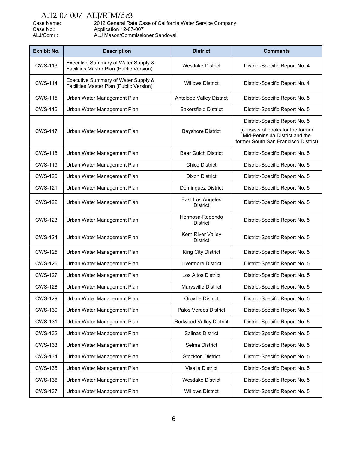| Case Name: | 2012 General Rate Case of California Water Service Company |
|------------|------------------------------------------------------------|
| Case No.:  | Application 12-07-007                                      |
| ALJ/Comr.: | ALJ Mason/Commissioner Sandoval                            |

| <b>Exhibit No.</b> | <b>Description</b>                                                             | <b>District</b>                      | <b>Comments</b>                                                                                                                               |
|--------------------|--------------------------------------------------------------------------------|--------------------------------------|-----------------------------------------------------------------------------------------------------------------------------------------------|
| <b>CWS-113</b>     | Executive Summary of Water Supply &<br>Facilities Master Plan (Public Version) | <b>Westlake District</b>             | District-Specific Report No. 4                                                                                                                |
| <b>CWS-114</b>     | Executive Summary of Water Supply &<br>Facilities Master Plan (Public Version) | <b>Willows District</b>              | District-Specific Report No. 4                                                                                                                |
| <b>CWS-115</b>     | Urban Water Management Plan                                                    | <b>Antelope Valley District</b>      | District-Specific Report No. 5                                                                                                                |
| <b>CWS-116</b>     | Urban Water Management Plan                                                    | <b>Bakersfield District</b>          | District-Specific Report No. 5                                                                                                                |
| <b>CWS-117</b>     | Urban Water Management Plan                                                    | <b>Bayshore District</b>             | District-Specific Report No. 5<br>(consists of books for the former<br>Mid-Peninsula District and the<br>former South San Francisco District) |
| <b>CWS-118</b>     | Urban Water Management Plan                                                    | <b>Bear Gulch District</b>           | District-Specific Report No. 5                                                                                                                |
| <b>CWS-119</b>     | Urban Water Management Plan                                                    | <b>Chico District</b>                | District-Specific Report No. 5                                                                                                                |
| <b>CWS-120</b>     | Urban Water Management Plan                                                    | <b>Dixon District</b>                | District-Specific Report No. 5                                                                                                                |
| <b>CWS-121</b>     | Urban Water Management Plan                                                    | Dominguez District                   | District-Specific Report No. 5                                                                                                                |
| <b>CWS-122</b>     | Urban Water Management Plan                                                    | East Los Angeles<br><b>District</b>  | District-Specific Report No. 5                                                                                                                |
| CWS-123            | Urban Water Management Plan                                                    | Hermosa-Redondo<br><b>District</b>   | District-Specific Report No. 5                                                                                                                |
| <b>CWS-124</b>     | Urban Water Management Plan                                                    | Kern River Valley<br><b>District</b> | District-Specific Report No. 5                                                                                                                |
| <b>CWS-125</b>     | Urban Water Management Plan                                                    | King City District                   | District-Specific Report No. 5                                                                                                                |
| <b>CWS-126</b>     | Urban Water Management Plan                                                    | Livermore District                   | District-Specific Report No. 5                                                                                                                |
| <b>CWS-127</b>     | Urban Water Management Plan                                                    | Los Altos District                   | District-Specific Report No. 5                                                                                                                |
| <b>CWS-128</b>     | Urban Water Management Plan                                                    | Marysville District                  | District-Specific Report No. 5                                                                                                                |
| <b>CWS-129</b>     | Urban Water Management Plan                                                    | <b>Oroville District</b>             | District-Specific Report No. 5                                                                                                                |
| <b>CWS-130</b>     | Urban Water Management Plan                                                    | Palos Verdes District                | District-Specific Report No. 5                                                                                                                |
| <b>CWS-131</b>     | Urban Water Management Plan                                                    | <b>Redwood Valley District</b>       | District-Specific Report No. 5                                                                                                                |
| <b>CWS-132</b>     | Urban Water Management Plan                                                    | Salinas District                     | District-Specific Report No. 5                                                                                                                |
| <b>CWS-133</b>     | Urban Water Management Plan                                                    | Selma District                       | District-Specific Report No. 5                                                                                                                |
| <b>CWS-134</b>     | Urban Water Management Plan                                                    | <b>Stockton District</b>             | District-Specific Report No. 5                                                                                                                |
| <b>CWS-135</b>     | Urban Water Management Plan                                                    | Visalia District                     | District-Specific Report No. 5                                                                                                                |
| <b>CWS-136</b>     | Urban Water Management Plan                                                    | <b>Westlake District</b>             | District-Specific Report No. 5                                                                                                                |
| <b>CWS-137</b>     | Urban Water Management Plan                                                    | <b>Willows District</b>              | District-Specific Report No. 5                                                                                                                |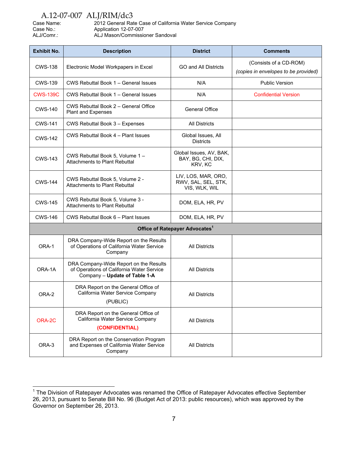| Case Name: | 2012 General Rate Case of California Water Service Company |
|------------|------------------------------------------------------------|
| Case No.:  | Application 12-07-007                                      |
| ALJ/Comr.: | ALJ Mason/Commissioner Sandoval                            |

| <b>Exhibit No.</b> | <b>Description</b>                                                                                                   | <b>District</b>                                             | <b>Comments</b>                                                |
|--------------------|----------------------------------------------------------------------------------------------------------------------|-------------------------------------------------------------|----------------------------------------------------------------|
| <b>CWS-138</b>     | Electronic Model Workpapers in Excel                                                                                 | <b>GO and All Districts</b>                                 | (Consists of a CD-ROM)<br>(copies in envelopes to be provided) |
| <b>CWS-139</b>     | CWS Rebuttal Book 1 - General Issues                                                                                 | N/A                                                         | <b>Public Version</b>                                          |
| <b>CWS-139C</b>    | CWS Rebuttal Book 1 - General Issues                                                                                 | N/A                                                         | <b>Confidential Version</b>                                    |
| <b>CWS-140</b>     | CWS Rebuttal Book 2 - General Office<br>Plant and Expenses                                                           | <b>General Office</b>                                       |                                                                |
| <b>CWS-141</b>     | CWS Rebuttal Book 3 - Expenses                                                                                       | <b>All Districts</b>                                        |                                                                |
| <b>CWS-142</b>     | CWS Rebuttal Book 4 - Plant Issues                                                                                   | Global Issues, All<br><b>Districts</b>                      |                                                                |
| <b>CWS-143</b>     | CWS Rebuttal Book 5, Volume 1 -<br>Attachments to Plant Rebuttal                                                     | Global Issues, AV, BAK,<br>BAY, BG, CHI, DIX,<br>KRV, KC    |                                                                |
| <b>CWS-144</b>     | CWS Rebuttal Book 5, Volume 2 -<br><b>Attachments to Plant Rebuttal</b>                                              | LIV, LOS, MAR, ORO,<br>RWV, SAL, SEL, STK,<br>VIS, WLK, WIL |                                                                |
| <b>CWS-145</b>     | CWS Rebuttal Book 5, Volume 3 -<br><b>Attachments to Plant Rebuttal</b>                                              | DOM, ELA, HR, PV                                            |                                                                |
| <b>CWS-146</b>     | CWS Rebuttal Book 6 - Plant Issues                                                                                   | DOM, ELA, HR, PV                                            |                                                                |
|                    |                                                                                                                      | Office of Ratepayer Advocates <sup>1</sup>                  |                                                                |
| ORA-1              | DRA Company-Wide Report on the Results<br>of Operations of California Water Service<br>Company                       | <b>All Districts</b>                                        |                                                                |
| ORA-1A             | DRA Company-Wide Report on the Results<br>of Operations of California Water Service<br>Company - Update of Table 1-A | <b>All Districts</b>                                        |                                                                |
| ORA-2              | DRA Report on the General Office of<br>California Water Service Company<br>(PUBLIC)                                  | <b>All Districts</b>                                        |                                                                |
| ORA-2C             | DRA Report on the General Office of<br>California Water Service Company<br>(CONFIDENTIAL)                            | <b>All Districts</b>                                        |                                                                |
| ORA-3              | DRA Report on the Conservation Program<br>and Expenses of California Water Service<br>Company                        | <b>All Districts</b>                                        |                                                                |

 1 The Division of Ratepayer Advocates was renamed the Office of Ratepayer Advocates effective September 26, 2013, pursuant to Senate Bill No. 96 (Budget Act of 2013: public resources), which was approved by the Governor on September 26, 2013.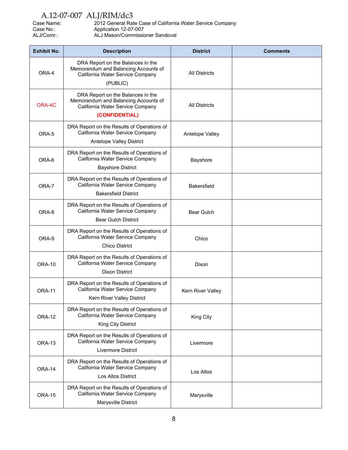| Case Name: | 2012 General Rate Case of California Water Service Company |
|------------|------------------------------------------------------------|
| Case No.:  | Application 12-07-007                                      |
| ALJ/Comr.: | ALJ Mason/Commissioner Sandoval                            |

| <b>Exhibit No.</b> | <b>Description</b>                                                                                                              | <b>District</b>      | <b>Comments</b> |
|--------------------|---------------------------------------------------------------------------------------------------------------------------------|----------------------|-----------------|
| ORA-4              | DRA Report on the Balances in the<br>Memorandum and Balancing Accounts of<br>California Water Service Company<br>(PUBLIC)       | <b>All Districts</b> |                 |
| ORA-4C             | DRA Report on the Balances in the<br>Memorandum and Balancing Accounts of<br>California Water Service Company<br>(CONFIDENTIAL) | <b>All Districts</b> |                 |
| ORA-5              | DRA Report on the Results of Operations of<br>California Water Service Company<br>Antelope Valley District                      | Antelope Valley      |                 |
| ORA-6              | DRA Report on the Results of Operations of<br>California Water Service Company<br><b>Bayshore District</b>                      | Bayshore             |                 |
| ORA-7              | DRA Report on the Results of Operations of<br>California Water Service Company<br><b>Bakersfield District</b>                   | <b>Bakersfield</b>   |                 |
| ORA-8              | DRA Report on the Results of Operations of<br>California Water Service Company<br><b>Bear Gulch District</b>                    | <b>Bear Gulch</b>    |                 |
| ORA-9              | DRA Report on the Results of Operations of<br>California Water Service Company<br><b>Chico District</b>                         | Chico                |                 |
| <b>ORA-10</b>      | DRA Report on the Results of Operations of<br>California Water Service Company<br><b>Dixon District</b>                         | Dixon                |                 |
| <b>ORA-11</b>      | DRA Report on the Results of Operations of<br>California Water Service Company<br>Kern River Valley District                    | Kern River Valley    |                 |
| <b>ORA-12</b>      | DRA Report on the Results of Operations of<br>California Water Service Company<br>King City District                            | King City            |                 |
| ORA-13             | DRA Report on the Results of Operations of<br>California Water Service Company<br>Livermore District                            | Livermore            |                 |
| ORA-14             | DRA Report on the Results of Operations of<br>California Water Service Company<br><b>Los Altos District</b>                     | Los Altos            |                 |
| <b>ORA-15</b>      | DRA Report on the Results of Operations of<br>California Water Service Company<br>Marysville District                           | Marysville           |                 |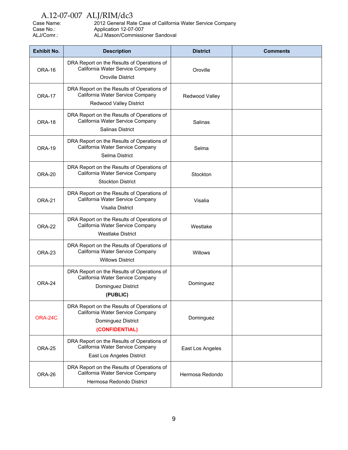Case Name: 2012 General Rate Case of California Water Service Company<br>Case No.: Application 12-07-007 Case No.: Application 12-07-007<br>ALJ/Comr.: ALJ Mason/Commissio ALJ Mason/Commissioner Sandoval

| <b>Exhibit No.</b> | <b>Description</b>                                                                                                     | <b>District</b>  | <b>Comments</b> |
|--------------------|------------------------------------------------------------------------------------------------------------------------|------------------|-----------------|
| ORA-16             | DRA Report on the Results of Operations of<br>California Water Service Company<br>Oroville District                    | Oroville         |                 |
| <b>ORA-17</b>      | DRA Report on the Results of Operations of<br>California Water Service Company<br>Redwood Valley District              | Redwood Valley   |                 |
| ORA-18             | DRA Report on the Results of Operations of<br>California Water Service Company<br><b>Salinas District</b>              | Salinas          |                 |
| <b>ORA-19</b>      | DRA Report on the Results of Operations of<br>California Water Service Company<br>Selma District                       | Selma            |                 |
| ORA-20             | DRA Report on the Results of Operations of<br>California Water Service Company<br><b>Stockton District</b>             | Stockton         |                 |
| <b>ORA-21</b>      | DRA Report on the Results of Operations of<br>California Water Service Company<br>Visalia District                     | Visalia          |                 |
| <b>ORA-22</b>      | DRA Report on the Results of Operations of<br>California Water Service Company<br><b>Westlake District</b>             | Westlake         |                 |
| ORA-23             | DRA Report on the Results of Operations of<br>California Water Service Company<br><b>Willows District</b>              | Willows          |                 |
| ORA-24             | DRA Report on the Results of Operations of<br>California Water Service Company<br>Dominguez District<br>(PUBLIC)       | Dominguez        |                 |
| ORA-24C            | DRA Report on the Results of Operations of<br>California Water Service Company<br>Dominguez District<br>(CONFIDENTIAL) | Dominguez        |                 |
| ORA-25             | DRA Report on the Results of Operations of<br>California Water Service Company<br>East Los Angeles District            | East Los Angeles |                 |
| ORA-26             | DRA Report on the Results of Operations of<br>California Water Service Company<br>Hermosa Redondo District             | Hermosa Redondo  |                 |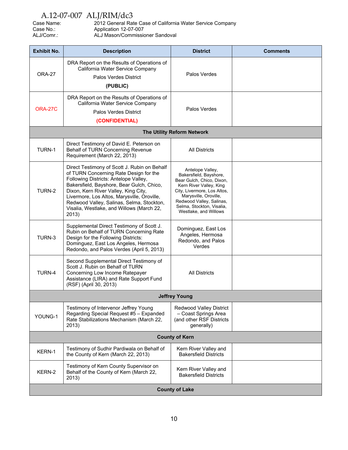| Case Name: | 2012 General Rate Case of California Water Service Company |
|------------|------------------------------------------------------------|
| Case No.:  | Application 12-07-007                                      |
| ALJ/Comr.: | ALJ Mason/Commissioner Sandoval                            |

| <b>Exhibit No.</b>    | <b>Description</b>                                                                                                                                                                                                                                                                                                                                                     | <b>District</b>                                                                                                                                                                                                                              | <b>Comments</b> |
|-----------------------|------------------------------------------------------------------------------------------------------------------------------------------------------------------------------------------------------------------------------------------------------------------------------------------------------------------------------------------------------------------------|----------------------------------------------------------------------------------------------------------------------------------------------------------------------------------------------------------------------------------------------|-----------------|
| ORA-27                | DRA Report on the Results of Operations of<br>California Water Service Company<br><b>Palos Verdes District</b><br>(PUBLIC)                                                                                                                                                                                                                                             | Palos Verdes                                                                                                                                                                                                                                 |                 |
| <b>ORA-27C</b>        | DRA Report on the Results of Operations of<br>California Water Service Company<br><b>Palos Verdes District</b><br>(CONFIDENTIAL)                                                                                                                                                                                                                                       | Palos Verdes                                                                                                                                                                                                                                 |                 |
|                       |                                                                                                                                                                                                                                                                                                                                                                        | The Utility Reform Network                                                                                                                                                                                                                   |                 |
| TURN-1                | Direct Testimony of David E. Peterson on<br>Behalf of TURN Concerning Revenue<br>Requirement (March 22, 2013)                                                                                                                                                                                                                                                          | <b>All Districts</b>                                                                                                                                                                                                                         |                 |
| TURN-2                | Direct Testimony of Scott J. Rubin on Behalf<br>of TURN Concerning Rate Design for the<br>Following Districts: Antelope Valley,<br>Bakersfield, Bayshore, Bear Gulch, Chico,<br>Dixon, Kern River Valley, King City,<br>Livermore, Los Altos, Marysville, Oroville,<br>Redwood Valley, Salinas, Selma, Stockton,<br>Visalia, Westlake, and Willows (March 22,<br>2013) | Antelope Valley,<br>Bakersfield, Bayshore,<br>Bear Gulch, Chico, Dixon,<br>Kern River Valley, King<br>City, Livermore, Los Altos,<br>Marysville, Oroville,<br>Redwood Valley, Salinas,<br>Selma, Stockton, Visalia,<br>Westlake, and Willows |                 |
| TURN-3                | Supplemental Direct Testimony of Scott J.<br>Rubin on Behalf of TURN Concerning Rate<br>Design for the Following Districts:<br>Dominguez, East Los Angeles, Hermosa<br>Redondo, and Palos Verdes (April 5, 2013)                                                                                                                                                       | Dominguez, East Los<br>Angeles, Hermosa<br>Redondo, and Palos<br>Verdes                                                                                                                                                                      |                 |
| TURN-4                | Second Supplemental Direct Testimony of<br>Scott J. Rubin on Behalf of TURN<br>Concerning Low Income Ratepayer<br>Assistance (LIRA) and Rate Support Fund<br>(RSF) (April 30, 2013)                                                                                                                                                                                    | <b>All Districts</b>                                                                                                                                                                                                                         |                 |
|                       |                                                                                                                                                                                                                                                                                                                                                                        | <b>Jeffrey Young</b>                                                                                                                                                                                                                         |                 |
| YOUNG-1               | Testimony of Intervenor Jeffrey Young<br>Regarding Special Request #5 - Expanded<br>Rate Stabilizations Mechanism (March 22,<br>2013)                                                                                                                                                                                                                                  | Redwood Valley District<br>- Coast Springs Area<br>(and other RSF Districts<br>generally)                                                                                                                                                    |                 |
| <b>County of Kern</b> |                                                                                                                                                                                                                                                                                                                                                                        |                                                                                                                                                                                                                                              |                 |
| KERN-1                | Testimony of Sudhir Pardiwala on Behalf of<br>the County of Kern (March 22, 2013)                                                                                                                                                                                                                                                                                      | Kern River Valley and<br><b>Bakersfield Districts</b>                                                                                                                                                                                        |                 |
| KERN-2                | Testimony of Kern County Supervisor on<br>Behalf of the County of Kern (March 22,<br>2013)                                                                                                                                                                                                                                                                             | Kern River Valley and<br><b>Bakersfield Districts</b>                                                                                                                                                                                        |                 |
| <b>County of Lake</b> |                                                                                                                                                                                                                                                                                                                                                                        |                                                                                                                                                                                                                                              |                 |